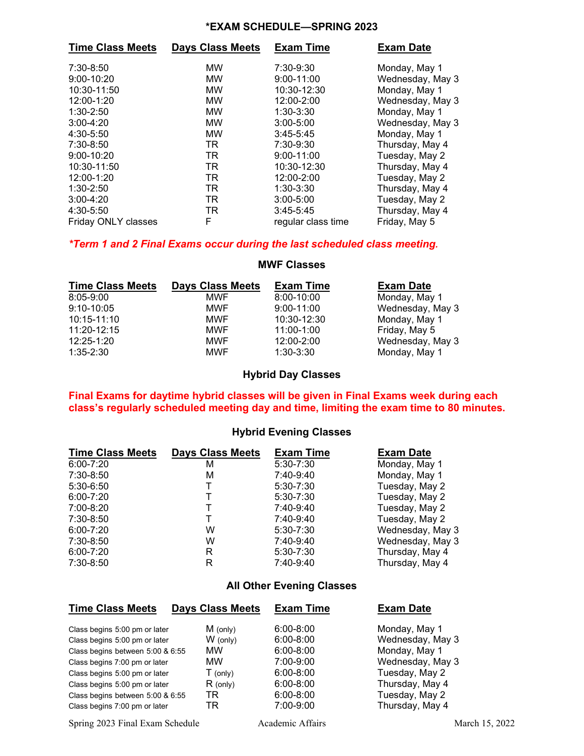### **\*EXAM SCHEDULE—SPRING 2023**

| <b>Time Class Meets</b> | <b>Days Class Meets</b> | <b>Exam Time</b>   | <b>Exam Date</b> |
|-------------------------|-------------------------|--------------------|------------------|
| 7:30-8:50               | MW                      | 7:30-9:30          | Monday, May 1    |
| $9:00 - 10:20$          | <b>MW</b>               | $9:00 - 11:00$     | Wednesday, May 3 |
| 10:30-11:50             | <b>MW</b>               | 10:30-12:30        | Monday, May 1    |
| 12:00-1:20              | <b>MW</b>               | 12:00-2:00         | Wednesday, May 3 |
| $1:30 - 2:50$           | <b>MW</b>               | $1:30-3:30$        | Monday, May 1    |
| $3:00 - 4:20$           | MW                      | $3:00 - 5:00$      | Wednesday, May 3 |
| 4:30-5:50               | MW                      | $3:45 - 5:45$      | Monday, May 1    |
| 7:30-8:50               | TR                      | 7:30-9:30          | Thursday, May 4  |
| 9:00-10:20              | TR                      | $9:00 - 11:00$     | Tuesday, May 2   |
| 10:30-11:50             | TR                      | 10:30-12:30        | Thursday, May 4  |
| 12:00-1:20              | TR                      | 12:00-2:00         | Tuesday, May 2   |
| $1:30-2:50$             | TR                      | $1:30-3:30$        | Thursday, May 4  |
| $3:00 - 4:20$           | TR                      | $3:00 - 5:00$      | Tuesday, May 2   |
| 4:30-5:50               | TR.                     | $3:45 - 5:45$      | Thursday, May 4  |
| Friday ONLY classes     | F                       | regular class time | Friday, May 5    |

## *\*Term 1 and 2 Final Exams occur during the last scheduled class meeting.*

## **MWF Classes**

| <b>Time Class Meets</b> | <b>Days Class Meets</b> | <b>Exam Time</b> | <b>Exam Date</b> |
|-------------------------|-------------------------|------------------|------------------|
| $8:05 - 9:00$           | <b>MWF</b>              | 8:00-10:00       | Monday, May 1    |
| $9:10 - 10:05$          | <b>MWF</b>              | $9:00 - 11:00$   | Wednesday, May 3 |
| $10:15 - 11:10$         | <b>MWF</b>              | 10:30-12:30      | Monday, May 1    |
| 11:20-12:15             | <b>MWF</b>              | 11:00-1:00       | Friday, May 5    |
| 12:25-1:20              | <b>MWF</b>              | 12:00-2:00       | Wednesday, May 3 |
| $1:35-2:30$             | <b>MWF</b>              | $1:30-3:30$      | Monday, May 1    |

# **Hybrid Day Classes**

#### **Final Exams for daytime hybrid classes will be given in Final Exams week during each class's regularly scheduled meeting day and time, limiting the exam time to 80 minutes.**

### **Hybrid Evening Classes**

| <b>Time Class Meets</b> | <b>Days Class Meets</b> | <b>Exam Time</b> | <b>Exam Date</b> |
|-------------------------|-------------------------|------------------|------------------|
| $6:00 - 7:20$           | М                       | $5:30 - 7:30$    | Monday, May 1    |
| 7:30-8:50               | м                       | 7:40-9:40        | Monday, May 1    |
| $5:30-6:50$             |                         | $5:30 - 7:30$    | Tuesday, May 2   |
| $6:00 - 7:20$           |                         | $5:30 - 7:30$    | Tuesday, May 2   |
| 7:00-8:20               |                         | 7:40-9:40        | Tuesday, May 2   |
| 7:30-8:50               |                         | 7:40-9:40        | Tuesday, May 2   |
| $6:00 - 7:20$           | W                       | $5:30 - 7:30$    | Wednesday, May 3 |
| 7:30-8:50               | W                       | 7:40-9:40        | Wednesday, May 3 |
| $6:00 - 7:20$           | R                       | $5:30 - 7:30$    | Thursday, May 4  |
| 7:30-8:50               | R                       | 7:40-9:40        | Thursday, May 4  |

### **All Other Evening Classes**

| <b>Time Class Meets</b>          | <b>Days Class Meets</b> | <b>Exam Time</b> | <b>Exam Date</b> |
|----------------------------------|-------------------------|------------------|------------------|
| Class begins 5:00 pm or later    | $M$ (only)              | $6:00 - 8:00$    | Monday, May 1    |
| Class begins 5:00 pm or later    | $W$ (only)              | $6:00 - 8:00$    | Wednesday, May 3 |
| Class begins between 5:00 & 6:55 | <b>MW</b>               | $6:00 - 8:00$    | Monday, May 1    |
| Class begins 7:00 pm or later    | <b>MW</b>               | 7:00-9:00        | Wednesday, May 3 |
| Class begins 5:00 pm or later    | $T$ (only)              | $6:00 - 8:00$    | Tuesday, May 2   |
| Class begins 5:00 pm or later    | $R$ (only)              | $6:00 - 8:00$    | Thursday, May 4  |
| Class begins between 5:00 & 6:55 | TR                      | $6:00 - 8:00$    | Tuesday, May 2   |
| Class begins 7:00 pm or later    | TR                      | 7:00-9:00        | Thursday, May 4  |

Spring 2023 Final Exam Schedule Academic Affairs Academic Affairs March 15, 2022